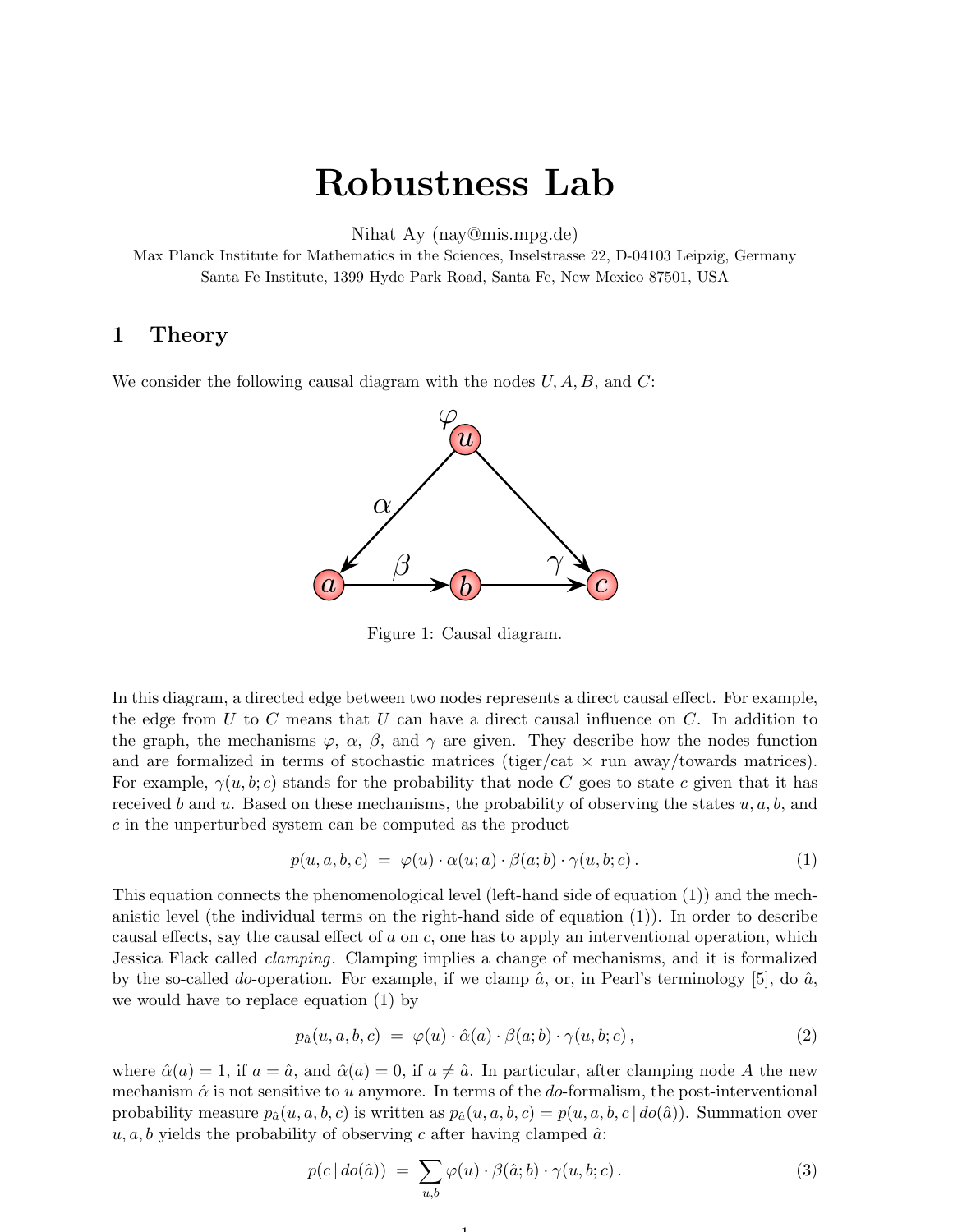## Robustness Lab

Nihat Ay (nay@mis.mpg.de)

Max Planck Institute for Mathematics in the Sciences, Inselstrasse 22, D-04103 Leipzig, Germany Santa Fe Institute, 1399 Hyde Park Road, Santa Fe, New Mexico 87501, USA

## 1 Theory

We consider the following causal diagram with the nodes  $U, A, B$ , and  $C$ :



Figure 1: Causal diagram.

In this diagram, a directed edge between two nodes represents a direct causal effect. For example, the edge from U to C means that U can have a direct causal influence on C. In addition to the graph, the mechanisms  $\varphi$ ,  $\alpha$ ,  $\beta$ , and  $\gamma$  are given. They describe how the nodes function and are formalized in terms of stochastic matrices (tiger/cat  $\times$  run away/towards matrices). For example,  $\gamma(u, b; c)$  stands for the probability that node C goes to state c given that it has received b and u. Based on these mechanisms, the probability of observing the states  $u, a, b$ , and c in the unperturbed system can be computed as the product

$$
p(u, a, b, c) = \varphi(u) \cdot \alpha(u; a) \cdot \beta(a; b) \cdot \gamma(u, b; c).
$$
 (1)

This equation connects the phenomenological level (left-hand side of equation (1)) and the mechanistic level (the individual terms on the right-hand side of equation (1)). In order to describe causal effects, say the causal effect of a on c, one has to apply an interventional operation, which Jessica Flack called clamping. Clamping implies a change of mechanisms, and it is formalized by the so-called do-operation. For example, if we clamp  $\hat{a}$ , or, in Pearl's terminology [5], do  $\hat{a}$ , we would have to replace equation (1) by

$$
p_{\hat{a}}(u, a, b, c) = \varphi(u) \cdot \hat{\alpha}(a) \cdot \beta(a; b) \cdot \gamma(u, b; c), \qquad (2)
$$

where  $\hat{\alpha}(a) = 1$ , if  $a = \hat{a}$ , and  $\hat{\alpha}(a) = 0$ , if  $a \neq \hat{a}$ . In particular, after clamping node A the new mechanism  $\hat{\alpha}$  is not sensitive to u anymore. In terms of the do-formalism, the post-interventional probability measure  $p_{\hat{a}}(u, a, b, c)$  is written as  $p_{\hat{a}}(u, a, b, c) = p(u, a, b, c | do(\hat{a}))$ . Summation over  $u, a, b$  yields the probability of observing c after having clamped  $\hat{a}$ .

1

$$
p(c | do(\hat{a})) = \sum_{u,b} \varphi(u) \cdot \beta(\hat{a}; b) \cdot \gamma(u, b; c).
$$
 (3)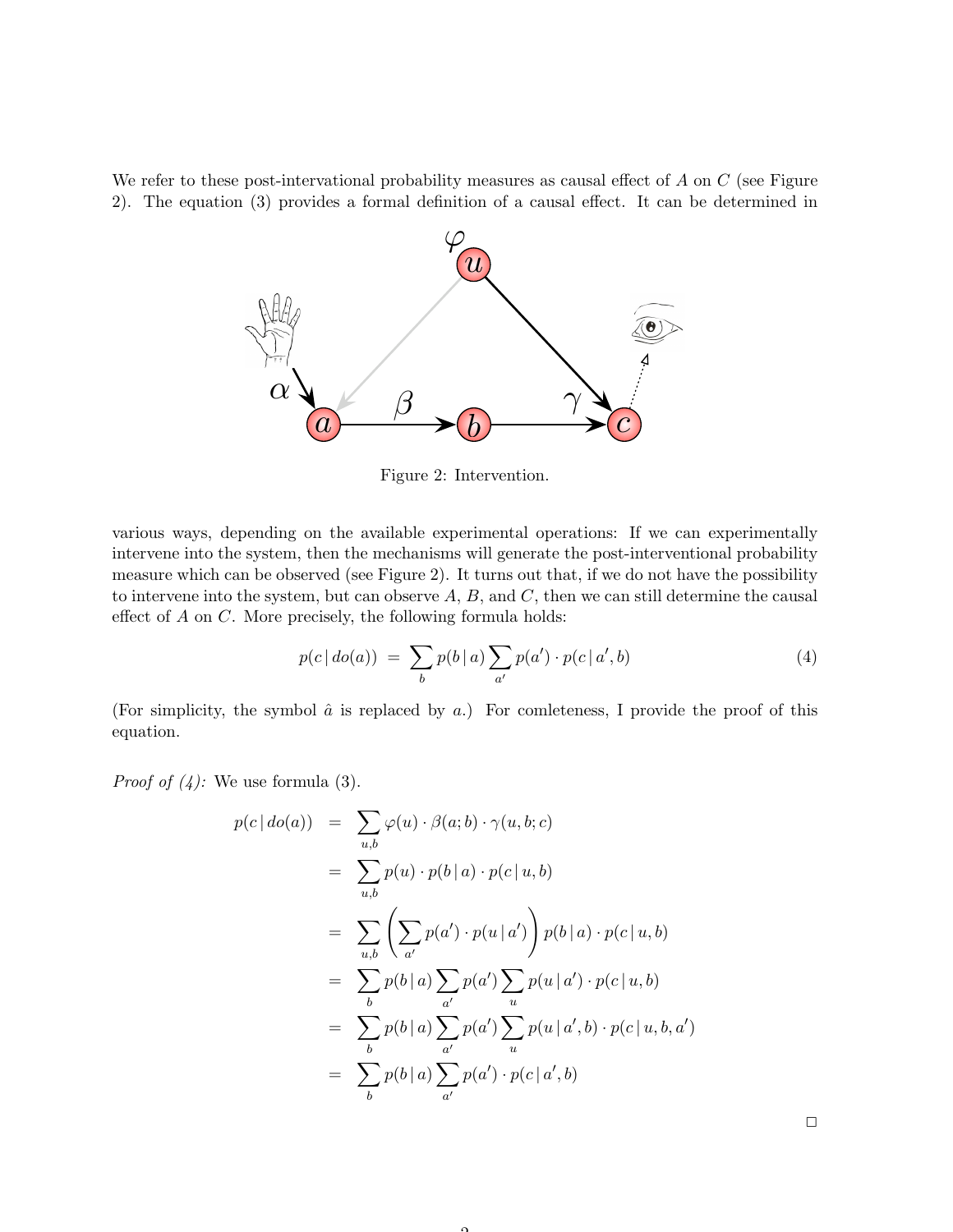We refer to these post-intervational probability measures as causal effect of  $A$  on  $C$  (see Figure 2). The equation (3) provides a formal definition of a causal effect. It can be determined in



Figure 2: Intervention.

various ways, depending on the available experimental operations: If we can experimentally intervene into the system, then the mechanisms will generate the post-interventional probability measure which can be observed (see Figure 2). It turns out that, if we do not have the possibility to intervene into the system, but can observe  $A, B$ , and  $C$ , then we can still determine the causal effect of  $A$  on  $C$ . More precisely, the following formula holds:

$$
p(c | do(a)) = \sum_{b} p(b | a) \sum_{a'} p(a') \cdot p(c | a', b)
$$
 (4)

(For simplicity, the symbol  $\hat{a}$  is replaced by a.) For comleteness, I provide the proof of this equation.

*Proof of (4):* We use formula (3).

$$
p(c | do(a)) = \sum_{u,b} \varphi(u) \cdot \beta(a;b) \cdot \gamma(u,b;c)
$$
  
= 
$$
\sum_{u,b} p(u) \cdot p(b | a) \cdot p(c | u, b)
$$
  
= 
$$
\sum_{u,b} \left( \sum_{a'} p(a') \cdot p(u | a') \right) p(b | a) \cdot p(c | u, b)
$$
  
= 
$$
\sum_{b} p(b | a) \sum_{a'} p(a') \sum_{u} p(u | a') \cdot p(c | u, b)
$$
  
= 
$$
\sum_{b} p(b | a) \sum_{a'} p(a') \sum_{u} p(u | a', b) \cdot p(c | u, b, a')
$$
  
= 
$$
\sum_{b} p(b | a) \sum_{a'} p(a') \cdot p(c | a', b)
$$

 $\Omega$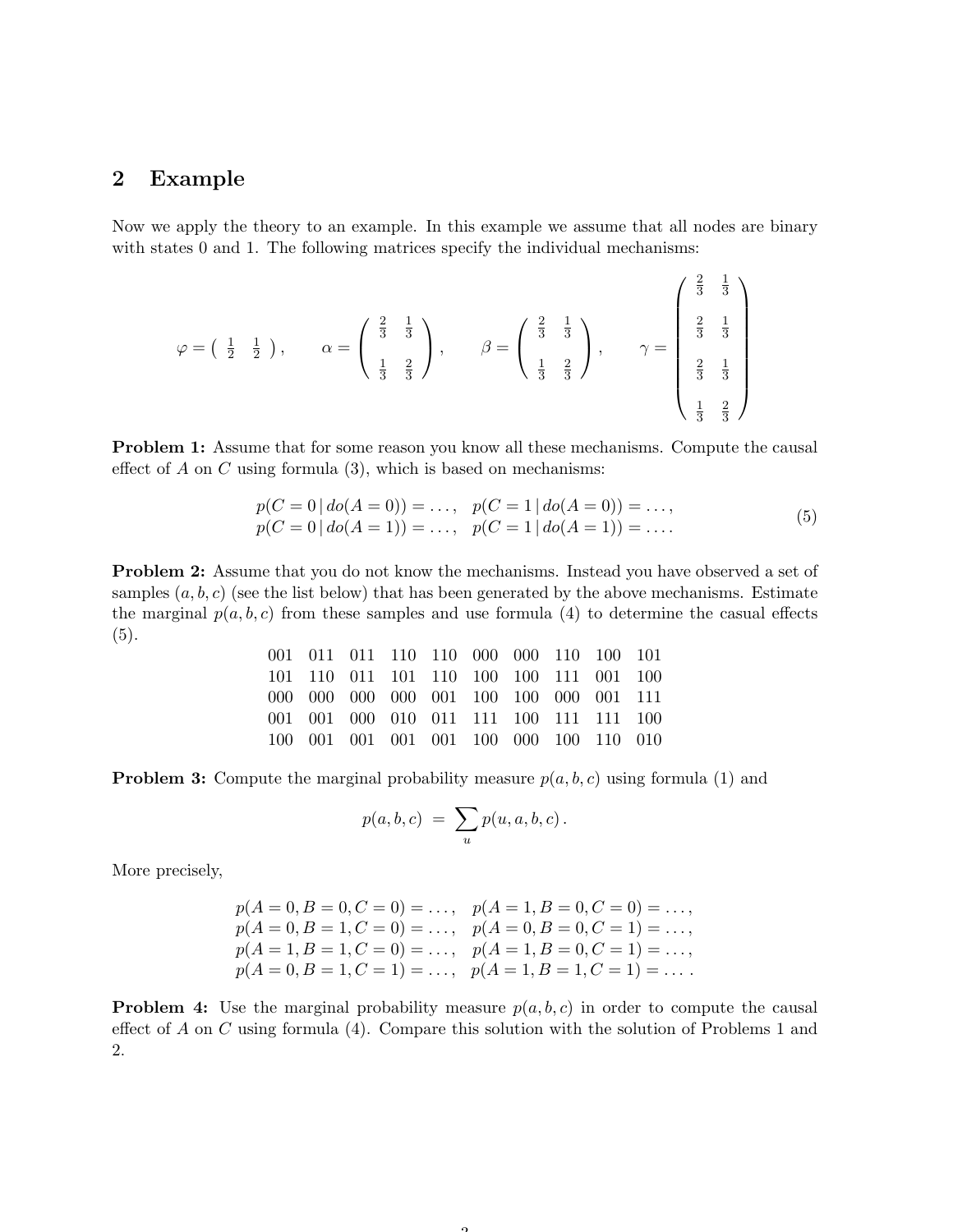## 2 Example

Now we apply the theory to an example. In this example we assume that all nodes are binary with states 0 and 1. The following matrices specify the individual mechanisms:

$$
\varphi = \begin{pmatrix} \frac{1}{2} & \frac{1}{2} \end{pmatrix}, \qquad \alpha = \begin{pmatrix} \frac{2}{3} & \frac{1}{3} \\ \frac{1}{3} & \frac{2}{3} \end{pmatrix}, \qquad \beta = \begin{pmatrix} \frac{2}{3} & \frac{1}{3} \\ \frac{1}{3} & \frac{2}{3} \end{pmatrix}, \qquad \gamma = \begin{pmatrix} \frac{2}{3} & \frac{1}{3} \\ \frac{2}{3} & \frac{1}{3} \\ \frac{1}{3} & \frac{2}{3} \end{pmatrix}
$$

Problem 1: Assume that for some reason you know all these mechanisms. Compute the causal effect of  $A$  on  $C$  using formula  $(3)$ , which is based on mechanisms:

$$
p(C = 0 | do(A = 0)) = ..., p(C = 1 | do(A = 0)) = ..., p(C = 0 | do(A = 1)) = ..., p(C = 1 | do(A = 1)) = ....
$$
 (5)

Problem 2: Assume that you do not know the mechanisms. Instead you have observed a set of samples  $(a, b, c)$  (see the list below) that has been generated by the above mechanisms. Estimate the marginal  $p(a, b, c)$  from these samples and use formula (4) to determine the casual effects  $(5).$ 

|  | 001 011 011 110 110 000 000 110 100 101 |  |  |  |  |
|--|-----------------------------------------|--|--|--|--|
|  | 101 110 011 101 110 100 100 111 001 100 |  |  |  |  |
|  | 000 000 000 000 001 100 100 000 001 111 |  |  |  |  |
|  | 001 001 000 010 011 111 100 111 111 100 |  |  |  |  |
|  | 100 001 001 001 001 100 000 100 110 010 |  |  |  |  |

**Problem 3:** Compute the marginal probability measure  $p(a, b, c)$  using formula (1) and

$$
p(a,b,c) = \sum_{u} p(u,a,b,c) .
$$

More precisely,

$$
p(A = 0, B = 0, C = 0) = \dots, p(A = 1, B = 0, C = 0) = \dots, p(A = 0, B = 1, C = 0) = \dots, p(A = 0, B = 0, C = 1) = \dots, p(A = 1, B = 1, C = 0) = \dots, p(A = 1, B = 0, C = 1) = \dots, p(A = 0, B = 1, C = 1) = \dots, p(A = 1, B = 1, C = 1) = \dots
$$

**Problem 4:** Use the marginal probability measure  $p(a, b, c)$  in order to compute the causal effect of A on C using formula  $(4)$ . Compare this solution with the solution of Problems 1 and 2.

 $\Omega$